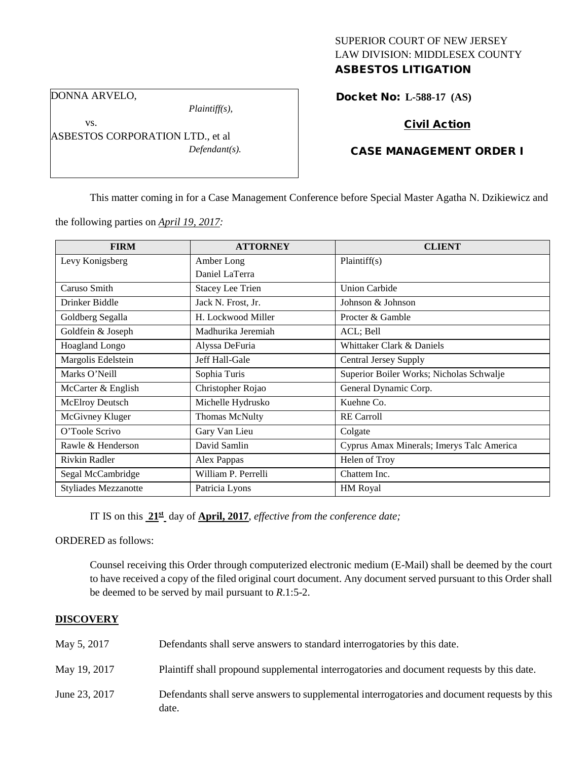# SUPERIOR COURT OF NEW JERSEY LAW DIVISION: MIDDLESEX COUNTY ASBESTOS LITIGATION

DONNA ARVELO,

vs.

*Plaintiff(s),*

ASBESTOS CORPORATION LTD., et al *Defendant(s).*

# Docket No: **L-588-17 (AS)**

# Civil Action

### CASE MANAGEMENT ORDER I

This matter coming in for a Case Management Conference before Special Master Agatha N. Dzikiewicz and

the following parties on *April 19, 2017:*

| <b>FIRM</b>                 | <b>ATTORNEY</b>         | <b>CLIENT</b>                             |
|-----------------------------|-------------------------|-------------------------------------------|
| Levy Konigsberg             | Amber Long              | Plaintiff(s)                              |
|                             | Daniel LaTerra          |                                           |
| Caruso Smith                | <b>Stacey Lee Trien</b> | <b>Union Carbide</b>                      |
| Drinker Biddle              | Jack N. Frost, Jr.      | Johnson & Johnson                         |
| Goldberg Segalla            | H. Lockwood Miller      | Procter & Gamble                          |
| Goldfein & Joseph           | Madhurika Jeremiah      | ACL; Bell                                 |
| Hoagland Longo              | Alyssa DeFuria          | Whittaker Clark & Daniels                 |
| Margolis Edelstein          | Jeff Hall-Gale          | <b>Central Jersey Supply</b>              |
| Marks O'Neill               | Sophia Turis            | Superior Boiler Works; Nicholas Schwalje  |
| McCarter & English          | Christopher Rojao       | General Dynamic Corp.                     |
| <b>McElroy Deutsch</b>      | Michelle Hydrusko       | Kuehne Co.                                |
| McGivney Kluger             | <b>Thomas McNulty</b>   | <b>RE</b> Carroll                         |
| O'Toole Scrivo              | Gary Van Lieu           | Colgate                                   |
| Rawle & Henderson           | David Samlin            | Cyprus Amax Minerals; Imerys Talc America |
| Rivkin Radler               | Alex Pappas             | Helen of Troy                             |
| Segal McCambridge           | William P. Perrelli     | Chattem Inc.                              |
| <b>Styliades Mezzanotte</b> | Patricia Lyons          | <b>HM Royal</b>                           |

IT IS on this **21st** day of **April, 2017**, *effective from the conference date;*

ORDERED as follows:

Counsel receiving this Order through computerized electronic medium (E-Mail) shall be deemed by the court to have received a copy of the filed original court document. Any document served pursuant to this Order shall be deemed to be served by mail pursuant to *R*.1:5-2.

### **DISCOVERY**

| May 5, 2017   | Defendants shall serve answers to standard interrogatories by this date.                              |
|---------------|-------------------------------------------------------------------------------------------------------|
| May 19, 2017  | Plaintiff shall propound supplemental interrogatories and document requests by this date.             |
| June 23, 2017 | Defendants shall serve answers to supplemental interrogatories and document requests by this<br>date. |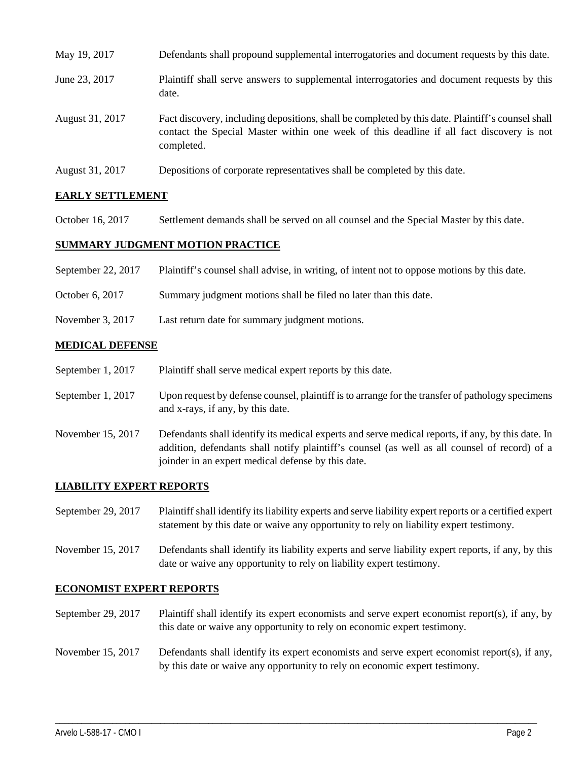| May 19, 2017    | Defendants shall propound supplemental interrogatories and document requests by this date.                                                                                                                  |
|-----------------|-------------------------------------------------------------------------------------------------------------------------------------------------------------------------------------------------------------|
| June 23, 2017   | Plaintiff shall serve answers to supplemental interrogatories and document requests by this<br>date.                                                                                                        |
| August 31, 2017 | Fact discovery, including depositions, shall be completed by this date. Plaintiff's counsel shall<br>contact the Special Master within one week of this deadline if all fact discovery is not<br>completed. |
| August 31, 2017 | Depositions of corporate representatives shall be completed by this date.                                                                                                                                   |

### **EARLY SETTLEMENT**

October 16, 2017 Settlement demands shall be served on all counsel and the Special Master by this date.

#### **SUMMARY JUDGMENT MOTION PRACTICE**

- September 22, 2017 Plaintiff's counsel shall advise, in writing, of intent not to oppose motions by this date.
- October 6, 2017 Summary judgment motions shall be filed no later than this date.
- November 3, 2017 Last return date for summary judgment motions.

#### **MEDICAL DEFENSE**

- September 1, 2017 Plaintiff shall serve medical expert reports by this date.
- September 1, 2017 Upon request by defense counsel, plaintiff is to arrange for the transfer of pathology specimens and x-rays, if any, by this date.
- November 15, 2017 Defendants shall identify its medical experts and serve medical reports, if any, by this date. In addition, defendants shall notify plaintiff's counsel (as well as all counsel of record) of a joinder in an expert medical defense by this date.

### **LIABILITY EXPERT REPORTS**

- September 29, 2017 Plaintiff shall identify its liability experts and serve liability expert reports or a certified expert statement by this date or waive any opportunity to rely on liability expert testimony.
- November 15, 2017 Defendants shall identify its liability experts and serve liability expert reports, if any, by this date or waive any opportunity to rely on liability expert testimony.

#### **ECONOMIST EXPERT REPORTS**

September 29, 2017 Plaintiff shall identify its expert economists and serve expert economist report(s), if any, by this date or waive any opportunity to rely on economic expert testimony.

# November 15, 2017 Defendants shall identify its expert economists and serve expert economist report(s), if any, by this date or waive any opportunity to rely on economic expert testimony.

\_\_\_\_\_\_\_\_\_\_\_\_\_\_\_\_\_\_\_\_\_\_\_\_\_\_\_\_\_\_\_\_\_\_\_\_\_\_\_\_\_\_\_\_\_\_\_\_\_\_\_\_\_\_\_\_\_\_\_\_\_\_\_\_\_\_\_\_\_\_\_\_\_\_\_\_\_\_\_\_\_\_\_\_\_\_\_\_\_\_\_\_\_\_\_\_\_\_\_\_\_\_\_\_\_\_\_\_\_\_